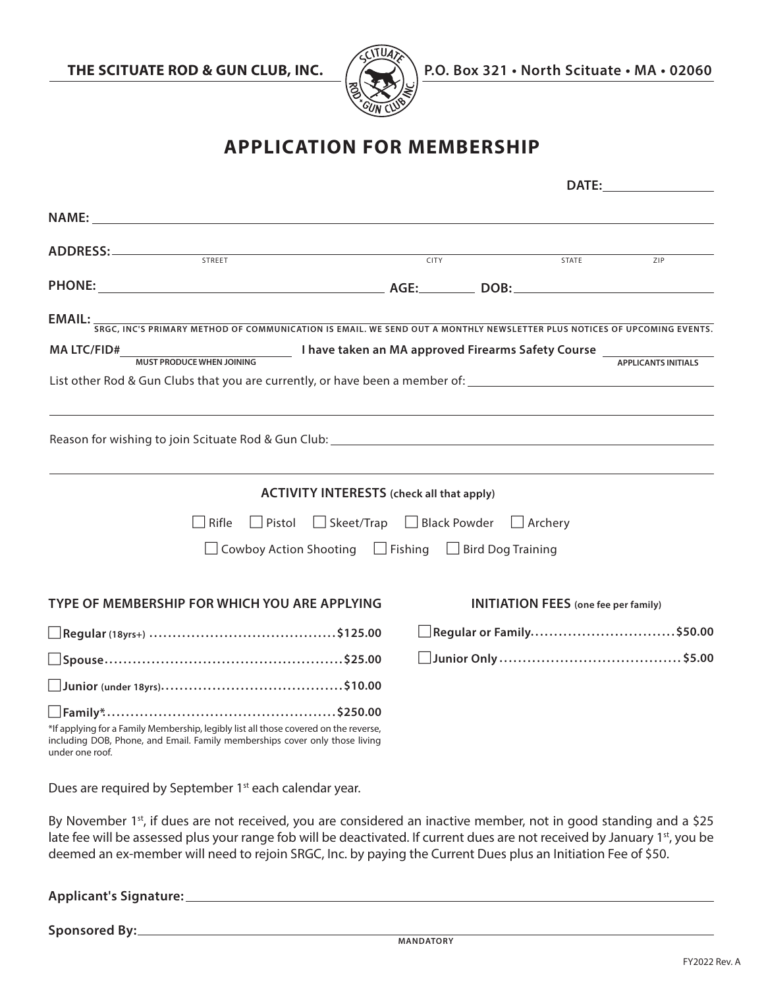

**THE SCITUATE ROD & GUN CLUB, INC.**  $\left(\sqrt{2}$  P.O. Box 321 • North Scituate • MA • 02060

## **APPLICATION FOR MEMBERSHIP**

|                                                                                                                                                                                                                                | <b>DATE:</b> |                                                           |                            |  |
|--------------------------------------------------------------------------------------------------------------------------------------------------------------------------------------------------------------------------------|--------------|-----------------------------------------------------------|----------------------------|--|
| NAME: the contract of the contract of the contract of the contract of the contract of the contract of the contract of the contract of the contract of the contract of the contract of the contract of the contract of the cont |              |                                                           |                            |  |
| ADDRESS:<br><b>STREET</b>                                                                                                                                                                                                      | <b>CITY</b>  | STATE                                                     | ZIP                        |  |
|                                                                                                                                                                                                                                |              |                                                           |                            |  |
| <b>EMAIL:</b> SRGC, INC'S PRIMARY METHOD OF COMMUNICATION IS EMAIL. WE SEND OUT A MONTHLY NEWSLETTER PLUS NOTICES OF UPCOMING EVENTS.                                                                                          |              |                                                           |                            |  |
| <b>MA LTC/FID#</b><br><b>MUST PRODUCE WHEN JOINING</b>                                                                                                                                                                         |              | I have taken an MA approved Firearms Safety Course ______ | <b>APPLICANTS INITIALS</b> |  |
| List other Rod & Gun Clubs that you are currently, or have been a member of: _________________________________                                                                                                                 |              |                                                           |                            |  |
|                                                                                                                                                                                                                                |              |                                                           |                            |  |
| <b>ACTIVITY INTERESTS</b> (check all that apply)                                                                                                                                                                               |              |                                                           |                            |  |
| $\Box$ Pistol<br>$\Box$ Skeet/Trap<br>Rifle                                                                                                                                                                                    | Black Powder | $\Box$ Archery                                            |                            |  |
| $\Box$ Cowboy Action Shooting<br>$\Box$ Fishing<br>$\Box$ Bird Dog Training                                                                                                                                                    |              |                                                           |                            |  |
| TYPE OF MEMBERSHIP FOR WHICH YOU ARE APPLYING                                                                                                                                                                                  |              | <b>INITIATION FEES</b> (one fee per family)               |                            |  |
|                                                                                                                                                                                                                                |              | Regular or Family\$50.00                                  |                            |  |
|                                                                                                                                                                                                                                |              |                                                           |                            |  |
|                                                                                                                                                                                                                                |              |                                                           |                            |  |
| *If applying for a Family Membership, legibly list all those covered on the reverse,<br>including DOB, Phone, and Email. Family memberships cover only those living<br>under one roof.                                         |              |                                                           |                            |  |
| Dues are required by September 1 <sup>st</sup> each calendar year.                                                                                                                                                             |              |                                                           |                            |  |

By November 1st, if dues are not received, you are considered an inactive member, not in good standing and a \$25 late fee will be assessed plus your range fob will be deactivated. If current dues are not received by January 1st, you be deemed an ex-member will need to rejoin SRGC, Inc. by paying the Current Dues plus an Initiation Fee of \$50.

**Applicant's Signature:**

**Sponsored By:**